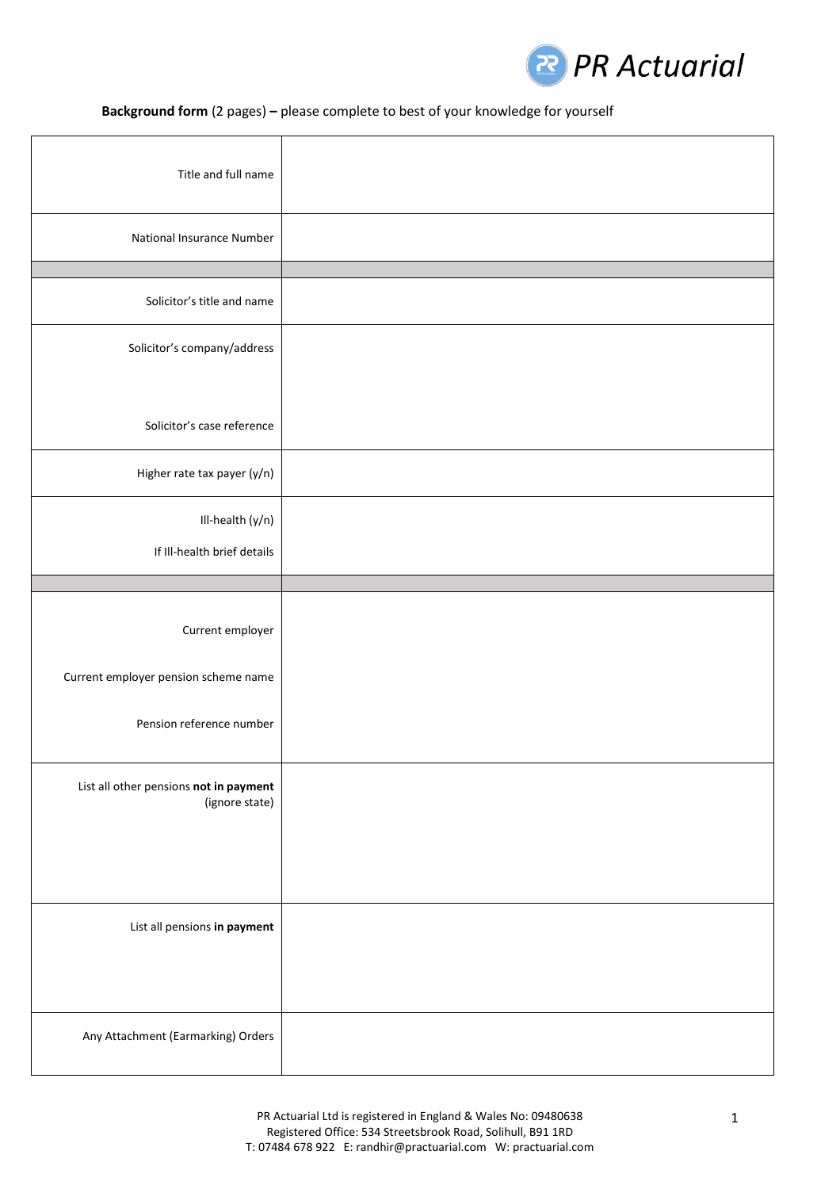

## **Background form** (2 pages) **–** please complete to best of your knowledge for yourself

| Title and full name                                                                  |  |
|--------------------------------------------------------------------------------------|--|
| National Insurance Number                                                            |  |
|                                                                                      |  |
| Solicitor's title and name                                                           |  |
| Solicitor's company/address                                                          |  |
| Solicitor's case reference                                                           |  |
| Higher rate tax payer (y/n)                                                          |  |
| Ill-health (y/n)<br>If III-health brief details                                      |  |
|                                                                                      |  |
| Current employer<br>Current employer pension scheme name<br>Pension reference number |  |
| List all other pensions not in payment<br>(ignore state)                             |  |
| List all pensions in payment                                                         |  |
| Any Attachment (Earmarking) Orders                                                   |  |